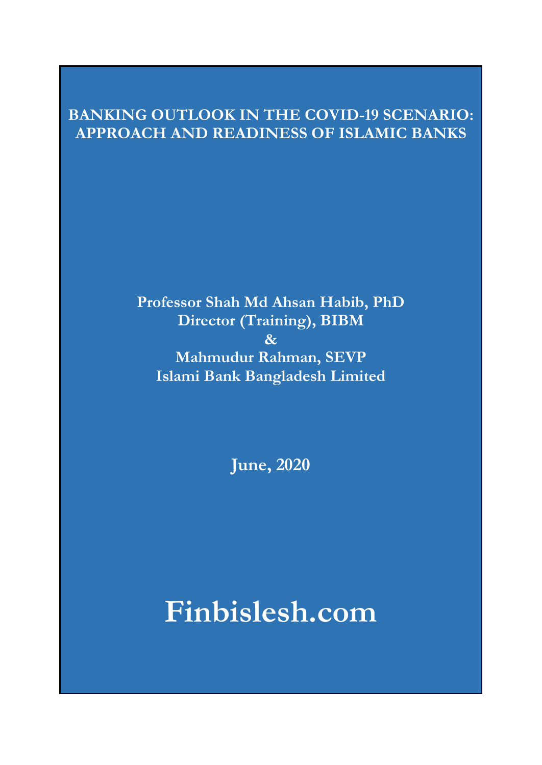# **BANKING OUTLOOK IN THE COVID-19 SCENARIO: APPROACH AND READINESS OF ISLAMIC BANKS**

**Professor Shah Md Ahsan Habib, PhD Director (Training), BIBM & Mahmudur Rahman, SEVP Islami Bank Bangladesh Limited** 

**June, 2020**

**Finbislesh.com**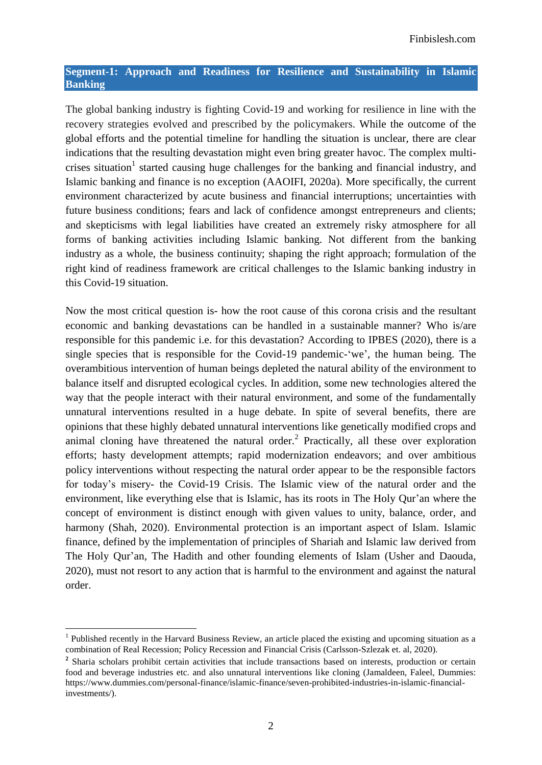#### **Segment-1: Approach and Readiness for Resilience and Sustainability in Islamic Banking**

The global banking industry is fighting Covid-19 and working for resilience in line with the recovery strategies evolved and prescribed by the policymakers. While the outcome of the global efforts and the potential timeline for handling the situation is unclear, there are clear indications that the resulting devastation might even bring greater havoc. The complex multicrises situation<sup>1</sup> started causing huge challenges for the banking and financial industry, and Islamic banking and finance is no exception (AAOIFI, 2020a). More specifically, the current environment characterized by acute business and financial interruptions; uncertainties with future business conditions; fears and lack of confidence amongst entrepreneurs and clients; and skepticisms with legal liabilities have created an extremely risky atmosphere for all forms of banking activities including Islamic banking. Not different from the banking industry as a whole, the business continuity; shaping the right approach; formulation of the right kind of readiness framework are critical challenges to the Islamic banking industry in this Covid-19 situation.

Now the most critical question is- how the root cause of this corona crisis and the resultant economic and banking devastations can be handled in a sustainable manner? Who is/are responsible for this pandemic i.e. for this devastation? According to IPBES (2020), there is a single species that is responsible for the Covid-19 pandemic-'we', the human being. The overambitious intervention of human beings depleted the natural ability of the environment to balance itself and disrupted ecological cycles. In addition, some new technologies altered the way that the people interact with their natural environment, and some of the fundamentally unnatural interventions resulted in a huge debate. In spite of several benefits, there are opinions that these highly debated unnatural interventions like genetically modified crops and animal cloning have threatened the natural order.<sup>2</sup> Practically, all these over exploration efforts; hasty development attempts; rapid modernization endeavors; and over ambitious policy interventions without respecting the natural order appear to be the responsible factors for today"s misery- the Covid-19 Crisis. The Islamic view of the natural order and the environment, like everything else that is Islamic, has its roots in The Holy Qur"an where the concept of environment is distinct enough with given values to unity, balance, order, and harmony (Shah, 2020). Environmental protection is an important aspect of Islam. Islamic finance, defined by the implementation of principles of Shariah and Islamic law derived from The Holy Qur'an, The Hadith and other founding elements of Islam (Usher and Daouda, 2020), must not resort to any action that is harmful to the environment and against the natural order.

<sup>&</sup>lt;sup>1</sup> Published recently in the Harvard Business Review, an article placed the existing and upcoming situation as a combination of Real Recession; Policy Recession and Financial Crisis (Carlsson-Szlezak et. al, 2020).

<sup>&</sup>lt;sup>2</sup> Sharia scholars prohibit certain activities that include transactions based on interests, production or certain food and beverage industries etc. and also unnatural interventions like cloning (Jamaldeen, Faleel, Dummies: [https://www.dummies.com/personal-finance/islamic-finance/seven-prohibited-industries-in-islamic-financial](https://www.dummies.com/personal-finance/islamic-finance/seven-prohibited-industries-in-islamic-financial-investments/)[investments/\)](https://www.dummies.com/personal-finance/islamic-finance/seven-prohibited-industries-in-islamic-financial-investments/).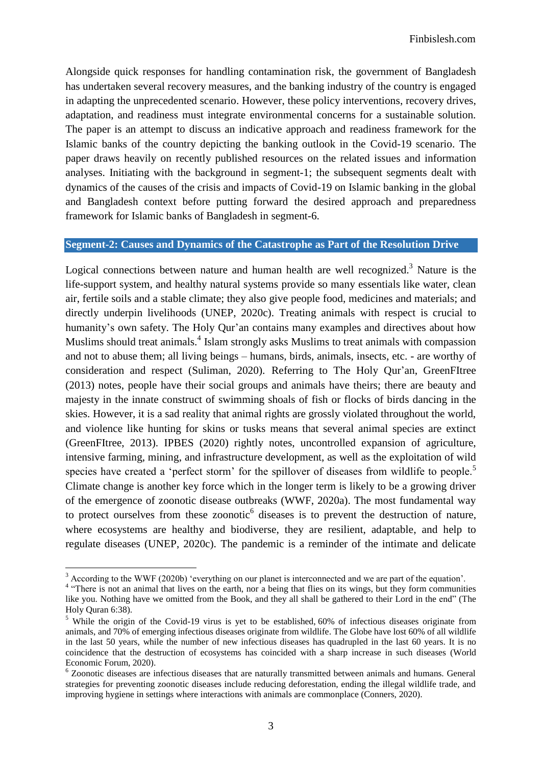Alongside quick responses for handling contamination risk, the government of Bangladesh has undertaken several recovery measures, and the banking industry of the country is engaged in adapting the unprecedented scenario. However, these policy interventions, recovery drives, adaptation, and readiness must integrate environmental concerns for a sustainable solution. The paper is an attempt to discuss an indicative approach and readiness framework for the Islamic banks of the country depicting the banking outlook in the Covid-19 scenario. The paper draws heavily on recently published resources on the related issues and information analyses. Initiating with the background in segment-1; the subsequent segments dealt with dynamics of the causes of the crisis and impacts of Covid-19 on Islamic banking in the global and Bangladesh context before putting forward the desired approach and preparedness framework for Islamic banks of Bangladesh in segment-6.

#### **Segment-2: Causes and Dynamics of the Catastrophe as Part of the Resolution Drive**

Logical connections between nature and human health are well recognized.<sup>3</sup> Nature is the life-support system, and healthy natural systems provide so many essentials like water, clean air, fertile soils and a stable climate; they also give people food, medicines and materials; and directly underpin livelihoods (UNEP, 2020c). Treating animals with respect is crucial to humanity's own safety. The Holy Our'an contains many examples and directives about how Muslims should treat animals.<sup>4</sup> Islam strongly asks Muslims to treat animals with compassion and not to abuse them; all living beings – humans, birds, animals, insects, etc. - are worthy of consideration and respect (Suliman, 2020). Referring to The Holy Qur"an, GreenFItree (2013) notes, people have their social groups and animals have theirs; there are beauty and majesty in the innate construct of swimming shoals of fish or flocks of birds dancing in the skies. However, it is a sad reality that animal rights are grossly violated throughout the world, and violence like hunting for skins or tusks means that several animal species are extinct (GreenFItree, 2013). IPBES (2020) rightly notes, uncontrolled expansion of agriculture, intensive farming, mining, and infrastructure development, as well as the exploitation of wild species have created a 'perfect storm' for the spillover of diseases from wildlife to people.<sup>5</sup> Climate change is another key force which in the longer term is likely to be a growing driver of the emergence of zoonotic disease outbreaks (WWF, 2020a). The most fundamental way to protect ourselves from these zoonotic $<sup>6</sup>$  diseases is to prevent the destruction of nature,</sup> where ecosystems are healthy and biodiverse, they are resilient, adaptable, and help to regulate diseases (UNEP, 2020c). The pandemic is a reminder of the intimate and delicate

 $3$  According to the WWF (2020b) 'everything on our planet is interconnected and we are part of the equation'.

<sup>&</sup>lt;sup>4</sup> "There is not an animal that lives on the earth, nor a being that flies on its wings, but they form communities like you. Nothing have we omitted from the Book, and they all shall be gathered to their Lord in the end" (The Holy Quran 6:38).

<sup>&</sup>lt;sup>5</sup> While the origin of the Covid-19 virus is yet to be established, 60% of infectious diseases originate from [animals,](https://www.ncbi.nlm.nih.gov/pmc/articles/PMC5711306/) and [70% of emerging infectious diseases originate from wildlife.](https://sustainabledevelopment.un.org/content/documents/631980-Machalaba-Anthropogenic%20Drivers%20of%20Emerging%20Infectious%20Diseases.pdf) The Globe have lost [60% of all wildlife](https://www.wwf.org.uk/updates/living-planet-report-2018)  [in the last 50 years,](https://www.wwf.org.uk/updates/living-planet-report-2018) while the number of new infectious diseases has [quadrupled in the last 60 years.](https://www.unicef.org/rosa/media/2406/file/C4D%20Emerging%20Infectious%20Diseases.pdf) It is no coincidence that the destruction of ecosystems has coincided with a sharp increase in such diseases (World Economic Forum, 2020).

<sup>6</sup> Zoonotic diseases are infectious diseases that are naturally transmitted between animals and humans. General strategies for preventing zoonotic diseases include reducing deforestation, ending the illegal wildlife trade, and improving hygiene in settings where interactions with animals are commonplace (Conners, 2020).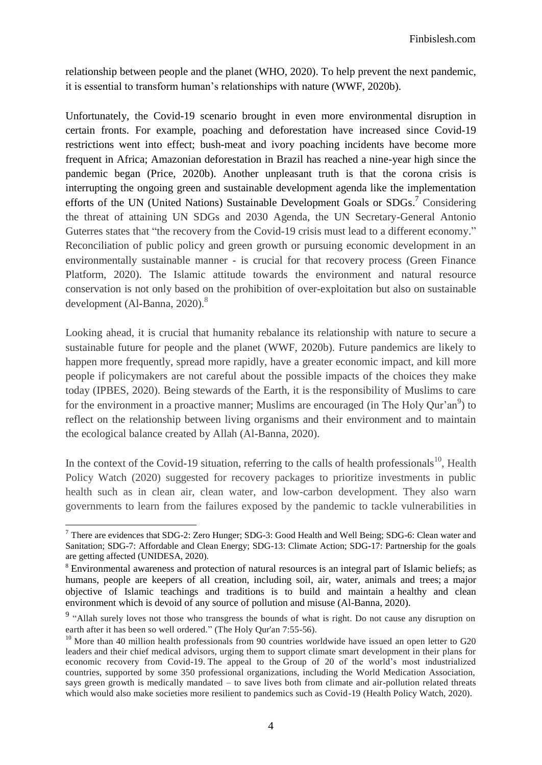relationship between people and the planet (WHO, 2020). To help prevent the next pandemic, it is essential to transform human"s relationships with nature (WWF, 2020b).

Unfortunately, the Covid-19 scenario brought in even more environmental disruption in certain fronts. For example, poaching and deforestation have increased since Covid-19 restrictions went into effect; bush-meat and ivory poaching incidents have become more frequent in Africa; Amazonian deforestation in Brazil has reached a nine-year high since the pandemic began (Price, 2020b). Another unpleasant truth is that the corona crisis is interrupting the ongoing green and sustainable development agenda like the implementation efforts of the UN (United Nations) Sustainable Development Goals or SDGs.<sup>7</sup> Considering the threat of attaining UN SDGs and 2030 Agenda, the UN Secretary-General Antonio Guterres states that ["the recovery from the Covid-19 crisis must lead to a different economy.](https://www.un.org/en/un-coronavirus-communications-team/launch-report-socio-economic-impacts-covid-19?fbclid=IwAR3hF9BH_G5dKJpGP7fvc3Gpcpbufhgp8dPK9clt18M7GANHxH4pPC1laqk)" Reconciliation of public policy and green growth or pursuing economic development in an environmentally sustainable manner - is crucial for that recovery process (Green Finance Platform, 2020). The Islamic attitude towards the environment and natural resource conservation is not only based on the prohibition of over-exploitation but also on [sustainable](https://www.ecomena.org/islam-sustainable-development/)  [development](https://www.ecomena.org/islam-sustainable-development/) (Al-Banna,  $2020$ ).<sup>8</sup>

Looking ahead, it is crucial that humanity rebalance its relationship with nature to secure a sustainable future for people and the planet (WWF, 2020b). Future pandemics are likely to happen more frequently, spread more rapidly, have a greater economic impact, and kill more people if policymakers are not careful about the possible impacts of the choices they make today (IPBES, 2020). Being stewards of the Earth, it is the responsibility of Muslims to care for the environment in a proactive manner; Muslims are encouraged (in The Holy Qur'an<sup>9</sup>) to reflect on the relationship between living organisms and their environment and to maintain the ecological balance created by Allah (Al-Banna, 2020).

In the context of the Covid-19 situation, referring to the calls of health professionals<sup>10</sup>, Health Policy Watch (2020) suggested for recovery packages to prioritize investments in public health such as in clean air, clean water, and low-carbon development. They also warn governments to learn from the failures exposed by the pandemic to tackle vulnerabilities in

 $7$  There are evidences that SDG-2: Zero Hunger; SDG-3: Good Health and Well Being; SDG-6: Clean water and Sanitation; SDG-7: Affordable and Clean Energy; SDG-13: Climate Action; SDG-17: Partnership for the goals are getting affected (UNIDESA, 2020).

<sup>8</sup> Environmental awareness and [protection of natural resources](https://www.cleantechloops.com/islam-environment/) is an integral part of Islamic beliefs; as humans, people are keepers of all creation, including soil, air, water, animals and trees; a major objective of Islamic teachings and traditions is to build and maintain a [healthy and clean](https://www.cleantechloops.com/eco-jihad/)  [environment](https://www.cleantechloops.com/eco-jihad/) which is devoid of any source of pollution and misuse (Al-Banna, 2020).

<sup>&</sup>lt;sup>9</sup> "Allah surely loves not those who transgress the bounds of what is right. Do not cause any disruption on earth after it has been so well ordered." (The Hol[y Qur'an 7:55-56\)](http://www.islamicity.com/Quransearch/action.lasso.asp?-database=Quran&-Table=tblMasterTranslit&-Response=Sreply1.asp&-Error=SReply1.asp&-MaxRecords=25&-token=English,||%3Cta%3Etrue%3C/ta%3E%3Ctt%3Etrue%3C/tt%3E%3Cts%3Etrue%3C/ts%3E%3Cdc%3Efalse%3C/dc%3E%3Ctx%3Etrue%3C/tx%3E%3Cal%3Etrue%3C/al%3E&-op=qrange&CV=7:55-7:56&-sortorder=Ascend&-sortfield=cv&-Search).

<sup>&</sup>lt;sup>10</sup> More than 40 million health professionals from 90 countries worldwide have issued an open letter to G20 [leaders](https://healthyrecovery.net/) and their chief medical advisors, urging them to support climate smart development in their plans for economic recovery from Covid-19. The appeal to the [Group of 20](https://g20.org/en/Pages/home.aspx) of the world"s most industrialized countries, supported by some 350 professional organizations, including the World Medication Association, says green growth is medically mandated – to save lives both from climate and air-pollution related threats which would also make societies more resilient to pandemics such as Covid-19 (Health Policy Watch, 2020).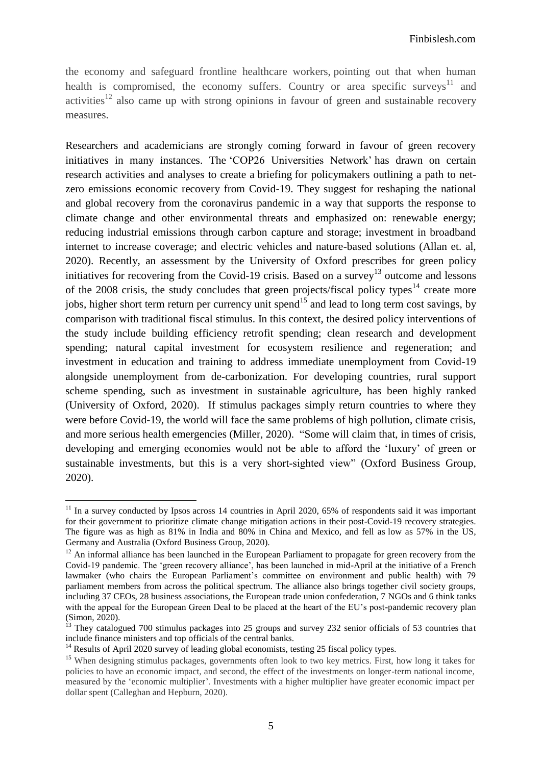the economy and safeguard frontline healthcare workers, pointing out that when human health is compromised, the economy suffers. Country or area specific surveys<sup>11</sup> and activities $12$  also came up with strong opinions in favour of green and sustainable recovery measures.

Researchers and academicians are strongly coming forward in favour of green recovery initiatives in many instances. The "COP26 Universities Network" has drawn on certain research activities and analyses to create a [briefing](https://spiral.imperial.ac.uk:8443/bitstream/10044/1/78707/2/COP26%20Universities%20Network%20Briefing%20-%20Economic%20Recovery%20from%20COVID-19.pdf) for policymakers outlining a path to netzero emissions economic recovery from Covid-19. They suggest for reshaping the national and global recovery from the coronavirus pandemic in a way that supports the response to climate change and other environmental threats and emphasized on: renewable energy; reducing industrial emissions through carbon capture and storage; investment in broadband internet to increase coverage; and electric vehicles and nature-based solutions (Allan et. al, 2020). Recently, an assessment by the University of Oxford prescribes for green policy initiatives for recovering from the Covid-19 crisis. Based on a survey<sup>13</sup> outcome and lessons of the 2008 crisis, the study concludes that green projects/fiscal policy types<sup>14</sup> create more jobs, higher short term return per currency unit spend<sup>15</sup> and lead to long term cost savings, by comparison with traditional fiscal stimulus. In this context, the desired policy interventions of the study include building efficiency retrofit spending; clean research and development spending; natural capital investment for ecosystem resilience and regeneration; and investment in education and training to address immediate unemployment from Covid-19 alongside unemployment from de-carbonization. For developing countries, rural support scheme spending, such as investment in sustainable agriculture, has been highly ranked (University of Oxford, 2020). If stimulus packages simply return countries to where they were before Covid-19, the world will face the same problems of high pollution, climate crisis, and more serious health emergencies (Miller, 2020). "Some will claim that, in times of crisis, developing and emerging economies would not be able to afford the "luxury" of green or sustainable investments, but this is a very short-sighted view" (Oxford Business Group, 2020).

 $11$  In a survey conducted by Ipsos across 14 countries in April 2020, 65% of respondents said it was important for their government to prioritize climate change mitigation actions in their post-Covid-19 recovery strategies. The figure was as high as 81% in India and 80% in China and Mexico, and fell as low as 57% in the US, Germany and Australia (Oxford Business Group, 2020).

<sup>&</sup>lt;sup>12</sup> An informal alliance has been launched in the European Parliament to propagate for green recovery from the Covid-19 pandemic. The "green recovery alliance", has been launched in mid-April at the initiative of a French lawmaker (who chairs the European Parliament"s committee on environment and public health) with 79 parliament members from across the political spectrum. The alliance also brings together civil society groups, including 37 CEOs, 28 business associations, the European trade union confederation, 7 NGOs and 6 think tanks with the appeal for the European Green Deal to be placed at the heart of the EU's post-pandemic recovery plan (Simon, 2020).

<sup>&</sup>lt;sup>13</sup> They catalogued 700 stimulus packages into 25 groups and survey 232 senior officials of 53 countries that include finance ministers and top officials of the central banks.

<sup>&</sup>lt;sup>14</sup> Results of April 2020 survey of leading global economists, testing 25 fiscal policy types.

<sup>&</sup>lt;sup>15</sup> When designing stimulus packages, governments often look to two key metrics. First, how long it takes for policies to have an economic impact, and second, the effect of the investments on longer-term national income, measured by the ["economic multiplier"](https://www.economicshelp.org/blog/1948/economics/the-multiplier-effect/). Investments with a higher multiplier have greater economic impact per dollar spent (Calleghan and Hepburn, 2020).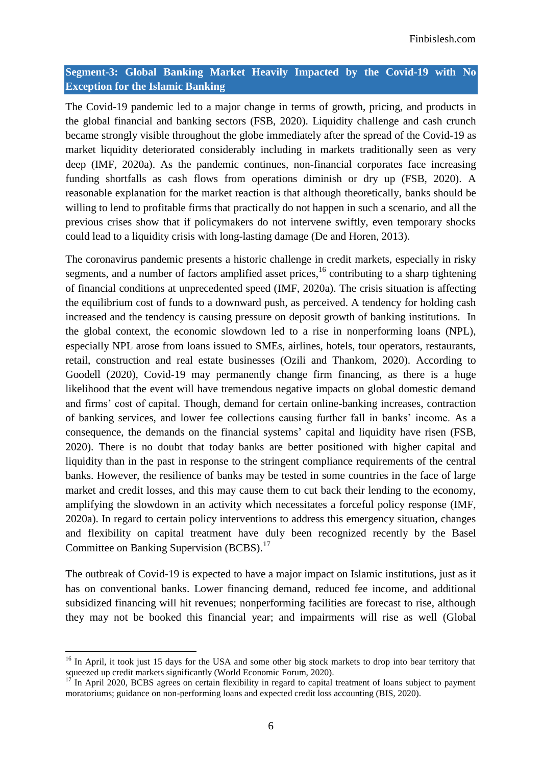## **Segment-3: Global Banking Market Heavily Impacted by the Covid-19 with No Exception for the Islamic Banking**

The Covid-19 pandemic led to a major change in terms of growth, pricing, and products in the global financial and banking sectors (FSB, 2020). Liquidity challenge and cash crunch became strongly visible throughout the globe immediately after the spread of the Covid-19 as market liquidity deteriorated considerably including in markets traditionally seen as very deep (IMF, 2020a). As the pandemic continues, non-financial corporates face increasing funding shortfalls as cash flows from operations diminish or dry up (FSB, 2020). A reasonable explanation for the market reaction is that although theoretically, banks should be willing to lend to profitable firms that practically do not happen in such a scenario, and all the previous crises show that if policymakers do not intervene swiftly, even temporary shocks could lead to a liquidity crisis with long-lasting damage (De and Horen, 2013).

The coronavirus pandemic presents a historic challenge in credit markets, especially in risky segments, and a number of factors amplified asset prices, <sup>16</sup> contributing to a sharp tightening of financial conditions at unprecedented speed (IMF, 2020a). The crisis situation is affecting the equilibrium cost of funds to a downward push, as perceived. A tendency for holding cash increased and the tendency is causing pressure on deposit growth of banking institutions. In the global context, the economic slowdown led to a rise in nonperforming loans (NPL), especially NPL arose from loans issued to SMEs, airlines, hotels, tour operators, restaurants, retail, construction and real estate businesses (Ozili and Thankom, 2020). According to Goodell (2020), Covid-19 may permanently change firm financing, as there is a huge likelihood that the event will have tremendous negative impacts on global domestic demand and firms" cost of capital. Though, demand for certain online-banking increases, contraction of banking services, and lower fee collections causing further fall in banks" income. As a consequence, the demands on the financial systems" capital and liquidity have risen (FSB, 2020). There is no doubt that today banks are better positioned with higher capital and liquidity than in the past in response to the stringent compliance requirements of the central banks. However, the resilience of banks may be tested in some countries in the face of large market and credit losses, and this may cause them to cut back their lending to the economy, amplifying the slowdown in an activity which necessitates a forceful policy response (IMF, 2020a). In regard to certain policy interventions to address this emergency situation, changes and flexibility on capital treatment have duly been recognized recently by the Basel Committee on Banking Supervision (BCBS).<sup>17</sup>

The outbreak of Covid-19 is expected to have a major impact on Islamic institutions, just as it has on conventional banks. Lower financing demand, reduced fee income, and additional subsidized financing will hit revenues; nonperforming facilities are forecast to rise, although they may not be booked this financial year; and impairments will rise as well (Global

<sup>&</sup>lt;sup>16</sup> In April, it took just 15 days for the USA and some other big stock markets to drop into bear territory that squeezed up credit markets significantly (World Economic Forum, 2020).

<sup>17</sup> In April 2020, BCBS agrees on certain flexibility in regard to capital treatment of loans subject to payment moratoriums; guidance on non-performing loans and expected credit loss accounting (BIS, 2020).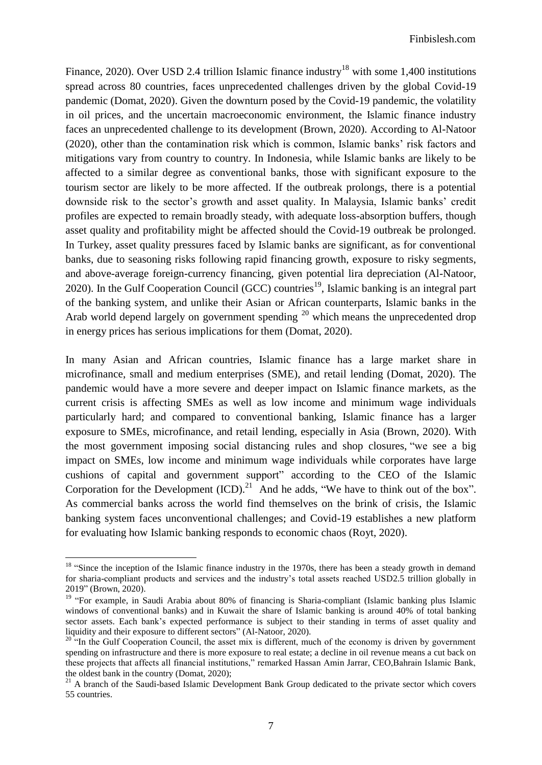Finance, 2020). Over USD 2.4 trillion [Islamic finance](https://www.gfmag.com/topics/blogs/islamic-finance-faq-what-islamic-finance-and-how-does-it-work) industry<sup>18</sup> with some 1,400 institutions spread across 80 countries, faces unprecedented challenges driven by the global Covid-19 pandemic (Domat, 2020). Given the downturn posed by the Covid-19 pandemic, the volatility in oil prices, and the uncertain macroeconomic environment, the Islamic finance industry faces an unprecedented challenge to its development (Brown, 2020). According to Al-Natoor (2020), other than the contamination risk which is common, Islamic banks" risk factors and mitigations vary from country to country. In Indonesia, while Islamic banks are likely to be affected to a similar degree as conventional banks, those with significant exposure to the tourism sector are likely to be more affected. If the outbreak prolongs, there is a potential downside risk to the sector's growth and asset quality. In Malaysia, Islamic banks' credit profiles are expected to remain broadly steady, with adequate loss-absorption buffers, though asset quality and profitability might be affected should the Covid-19 outbreak be prolonged. In Turkey, asset quality pressures faced by Islamic banks are significant, as for conventional banks, due to seasoning risks following rapid financing growth, exposure to risky segments, and above-average foreign-currency financing, given potential lira depreciation (Al-Natoor, 2020). In the Gulf Cooperation Council (GCC) countries<sup>19</sup>, Islamic banking is an integral part of the banking system, and unlike their Asian or African counterparts, Islamic banks in the Arab world depend largely on government spending <sup>20</sup> which means the unprecedented drop in energy prices has serious implications for them (Domat, 2020).

In many Asian and African countries, Islamic finance has a large market share in microfinance, small and medium enterprises (SME), and retail lending (Domat, 2020). The pandemic would have a more severe and deeper impact on Islamic finance markets, as the current crisis is affecting SMEs as well as low income and minimum wage individuals particularly hard; and compared to conventional banking, Islamic finance has a larger exposure to SMEs, microfinance, and retail lending, especially in Asia (Brown, 2020). With the most government imposing social distancing rules and shop closures, "we see a big impact on SMEs, low income and minimum wage individuals while corporates have large cushions of capital and government support" according to the CEO of the Islamic Corporation for the Development  $(ICD).^{21}$  And he adds, "We have to think out of the box". As commercial banks across the world find themselves on the brink of crisis, the Islamic banking system faces unconventional challenges; and Covid-19 establishes a new platform for evaluating how Islamic banking responds to economic chaos (Royt, 2020).

<sup>&</sup>lt;sup>18</sup> "Since the inception of the Islamic finance industry in the 1970s, there has been a steady growth in demand for sharia-compliant products and services and the industry"s total assets reached USD2.5 trillion globally in 2019" (Brown, 2020).

<sup>&</sup>lt;sup>19</sup> "For example, in Saudi Arabia about 80% of financing is Sharia-compliant (Islamic banking plus Islamic windows of conventional banks) and in Kuwait the share of Islamic banking is around 40% of total banking sector assets. Each bank's expected performance is subject to their standing in terms of asset quality and liquidity and their exposure to different sectors" (Al-Natoor, 2020).

<sup>&</sup>lt;sup>20 "</sup>In the Gulf Cooperation Council, the asset mix is different, much of the economy is driven by government spending on infrastructure and there is more exposure to real estate; a decline in oil revenue means a cut back on these projects that affects all financial institutions," remarked Hassan Amin Jarrar, CEO,Bahrain Islamic Bank, the oldest bank in the country (Domat, 2020);

<sup>&</sup>lt;sup>21</sup> A branch of the Saudi-based Islamic Development Bank Group dedicated to the private sector which covers 55 countries.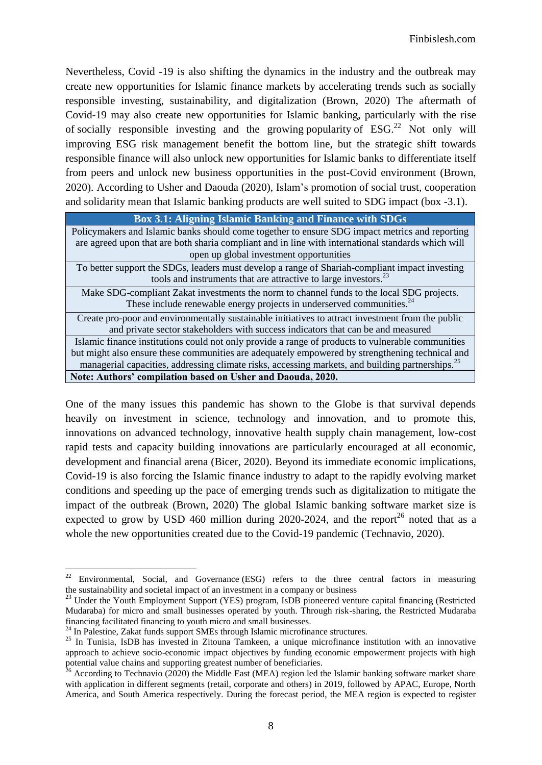Nevertheless, Covid -19 is also shifting the dynamics in the industry and the outbreak may create new opportunities for Islamic finance markets by accelerating trends such as socially responsible investing, sustainability, and digitalization (Brown, 2020) The aftermath of Covid-19 may also create new opportunities for Islamic banking, particularly with the rise of socially responsible investing and the growing [popularity](https://www.gfmag.com/magazine/october-2019/esg-investing-confirms-its-rapid-advance-paris) of  $ESG<sup>22</sup>$  Not only will improving ESG risk management benefit the bottom line, but the strategic shift towards responsible finance will also unlock new opportunities for Islamic banks to differentiate itself from peers and unlock new business opportunities in the post-Covid environment (Brown, 2020). According to Usher and Daouda (2020), Islam"s promotion of social trust, cooperation and solidarity mean that Islamic banking products are well [suited](https://www.undp.org/content/dam/istanbul/docs/IRTI_UNDP%20IFII%20Report%20EE_V3.pdf) to SDG impact (box -3.1).

| <b>Box 3.1: Aligning Islamic Banking and Finance with SDGs</b>                                               |
|--------------------------------------------------------------------------------------------------------------|
| Policymakers and Islamic banks should come together to ensure SDG impact metrics and reporting               |
| are agreed upon that are both sharia compliant and in line with international standards which will           |
| open up global investment opportunities                                                                      |
| To better support the SDGs, leaders must develop a range of Shariah-compliant impact investing               |
| tools and instruments that are attractive to large investors. <sup>23</sup>                                  |
| Make SDG-compliant Zakat investments the norm to channel funds to the local SDG projects.                    |
| These include renewable energy projects in underserved communities. <sup>24</sup>                            |
| Create pro-poor and environmentally sustainable initiatives to attract investment from the public            |
| and private sector stakeholders with success indicators that can be and measured                             |
| Islamic finance institutions could not only provide a range of products to vulnerable communities            |
| but might also ensure these communities are adequately empowered by strengthening technical and              |
| managerial capacities, addressing climate risks, accessing markets, and building partnerships. <sup>25</sup> |
| Note: Authors' compilation based on Usher and Daouda, 2020.                                                  |

One of the many issues this pandemic has shown to the Globe is that survival depends heavily on investment in science, technology and innovation, and to promote this, innovations on advanced technology, innovative health supply chain management, low-cost rapid tests and capacity building innovations are particularly encouraged at all economic, development and financial arena (Bicer, 2020). Beyond its immediate economic implications, Covid-19 is also forcing the Islamic finance industry to adapt to the rapidly evolving market conditions and speeding up the pace of emerging trends such as digitalization to mitigate the impact of the outbreak (Brown, 2020) The global Islamic banking software market size is expected to grow by USD 460 million during 2020-2024, and the report<sup>26</sup> noted that as a whole the new opportunities created due to the Covid-19 pandemic (Technavio, 2020).

<sup>22</sup> <sup>22</sup> Environmental, Social, and Governance (ESG) refers to the three central factors in measuring the [sustainability](https://en.wikipedia.org/wiki/Sustainability) and societal impact of an [investment](https://en.wikipedia.org/wiki/Investment) in a company or [business](https://en.wikipedia.org/wiki/Business)

<sup>&</sup>lt;sup>23</sup> Under the Youth Employment Support (YES) program, IsDB pioneered venture capital financing (Restricted Mudaraba) for micro and small businesses operated by youth. Through risk-sharing, the Restricted Mudaraba financing facilitated financing to youth micro and small businesses.

<sup>&</sup>lt;sup>24</sup> In Palestine, Zakat funds support SMEs through Islamic microfinance structures.

<sup>&</sup>lt;sup>25</sup> In Tunisia, IsDB [has invested](https://www.isdb.org/news/zitouna-tamkeen-the-innovation-in-the-service-of-employment-and-poverty-alleviation) in Zitouna Tamkeen, a unique microfinance institution with an innovative approach to achieve socio-economic impact objectives by funding economic empowerment projects with high potential value chains and supporting greatest number of beneficiaries.

 $^{26}$  According to Technavio (2020) the Middle East (MEA) region led the Islamic banking software market share with application in different segments (retail, corporate and others) in 2019, followed by APAC, Europe, North America, and South America respectively. During the forecast period, the MEA region is expected to register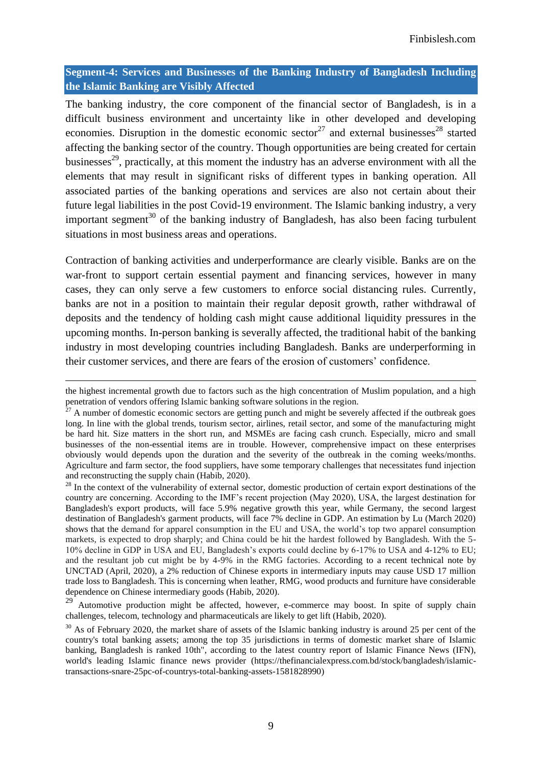## **Segment-4: Services and Businesses of the Banking Industry of Bangladesh Including the Islamic Banking are Visibly Affected**

The banking industry, the core component of the financial sector of Bangladesh, is in a difficult business environment and uncertainty like in other developed and developing economies. Disruption in the domestic economic sector<sup>27</sup> and external businesses<sup>28</sup> started affecting the banking sector of the country. Though opportunities are being created for certain businesses<sup>29</sup>, practically, at this moment the industry has an adverse environment with all the elements that may result in significant risks of different types in banking operation. All associated parties of the banking operations and services are also not certain about their future legal liabilities in the post Covid-19 environment. The Islamic banking industry, a very important segment<sup>30</sup> of the banking industry of Bangladesh, has also been facing turbulent situations in most business areas and operations.

Contraction of banking activities and underperformance are clearly visible. Banks are on the war-front to support certain essential payment and financing services, however in many cases, they can only serve a few customers to enforce social distancing rules. Currently, banks are not in a position to maintain their regular deposit growth, rather withdrawal of deposits and the tendency of holding cash might cause additional liquidity pressures in the upcoming months. In-person banking is severally affected, the traditional habit of the banking industry in most developing countries including Bangladesh. Banks are underperforming in their customer services, and there are fears of the erosion of customers" confidence.

the highest incremental growth due to factors such as the high concentration of Muslim population, and a high penetration of vendors offering Islamic banking software solutions in the region.

 $27$  A number of domestic economic sectors are getting punch and might be severely affected if the outbreak goes long. In line with the global trends, tourism sector, airlines, retail sector, and some of the manufacturing might be hard hit. Size matters in the short run, and MSMEs are facing cash crunch. Especially, micro and small businesses of the non-essential items are in trouble. However, comprehensive impact on these enterprises obviously would depends upon the duration and the severity of the outbreak in the coming weeks/months. Agriculture and farm sector, the food suppliers, have some temporary challenges that necessitates fund injection and reconstructing the supply chain (Habib, 2020).

<sup>&</sup>lt;sup>28</sup> In the context of the vulnerability of external sector, domestic production of certain export destinations of the country are concerning. According to the IMF"s recent projection (May 2020), USA, the largest destination for Bangladesh's export products, will face 5.9% negative growth this year, while Germany, the second largest destination of Bangladesh's garment products, will face 7% decline in GDP. An estimation by Lu (March 2020) shows that the demand for apparel consumption in the EU and USA, the world"s top two apparel consumption markets, is expected to drop sharply; and China could be hit the hardest followed by Bangladesh. With the 5- 10% decline in GDP in USA and EU, Bangladesh"s exports could decline by 6-17% to USA and 4-12% to EU; and the resultant job cut might be by 4-9% in the RMG factories. According to a recent technical note by UNCTAD (April, 2020), a 2% reduction of Chinese exports in intermediary inputs may cause USD 17 million trade loss to Bangladesh. This is concerning when leather, RMG, wood products and furniture have considerable dependence on Chinese intermediary goods (Habib, 2020).

 $29$  Automotive production might be affected, however, e-commerce may boost. In spite of supply chain challenges, telecom, technology and pharmaceuticals are likely to get lift (Habib, 2020).

<sup>&</sup>lt;sup>30</sup> As of February 2020, the market share of assets of the Islamic banking industry is around 25 per cent of the country's total banking assets; among the top 35 jurisdictions in terms of domestic market share of Islamic banking, Bangladesh is ranked 10th", according to the latest country report of Islamic Finance News (IFN), world's leading Islamic finance news provider [\(https://thefinancialexpress.com.bd/stock/bangladesh/islamic](https://thefinancialexpress.com.bd/stock/bangladesh/islamic-transactions-snare-25pc-of-countrys-total-banking-assets-1581828990)[transactions-snare-25pc-of-countrys-total-banking-assets-1581828990\)](https://thefinancialexpress.com.bd/stock/bangladesh/islamic-transactions-snare-25pc-of-countrys-total-banking-assets-1581828990)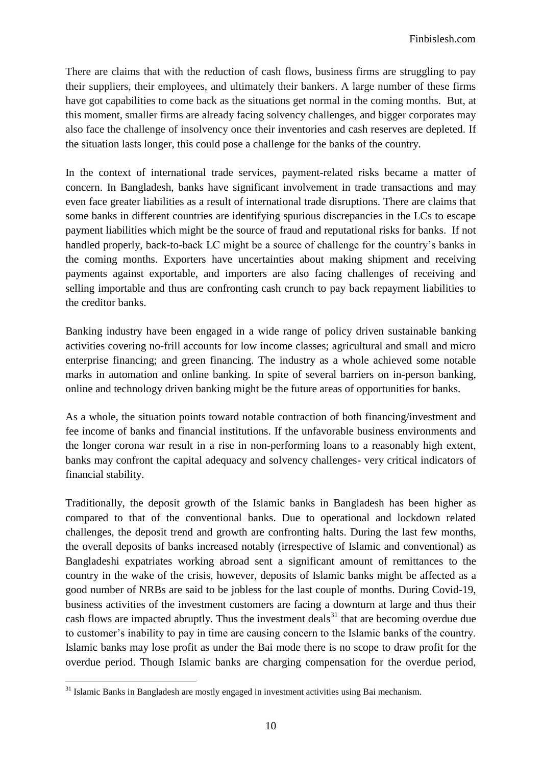There are claims that with the reduction of cash flows, business firms are struggling to pay their suppliers, their employees, and ultimately their bankers. A large number of these firms have got capabilities to come back as the situations get normal in the coming months. But, at this moment, smaller firms are already facing solvency challenges, and bigger corporates may also face the challenge of insolvency once their inventories and cash reserves are depleted. If the situation lasts longer, this could pose a challenge for the banks of the country.

In the context of international trade services, payment-related risks became a matter of concern. In Bangladesh, banks have significant involvement in trade transactions and may even face greater liabilities as a result of international trade disruptions. There are claims that some banks in different countries are identifying spurious discrepancies in the LCs to escape payment liabilities which might be the source of fraud and reputational risks for banks. If not handled properly, back-to-back LC might be a source of challenge for the country"s banks in the coming months. Exporters have uncertainties about making shipment and receiving payments against exportable, and importers are also facing challenges of receiving and selling importable and thus are confronting cash crunch to pay back repayment liabilities to the creditor banks.

Banking industry have been engaged in a wide range of policy driven sustainable banking activities covering no-frill accounts for low income classes; agricultural and small and micro enterprise financing; and green financing. The industry as a whole achieved some notable marks in automation and online banking. In spite of several barriers on in-person banking, online and technology driven banking might be the future areas of opportunities for banks.

As a whole, the situation points toward notable contraction of both financing/investment and fee income of banks and financial institutions. If the unfavorable business environments and the longer corona war result in a rise in non-performing loans to a reasonably high extent, banks may confront the capital adequacy and solvency challenges- very critical indicators of financial stability.

Traditionally, the deposit growth of the Islamic banks in Bangladesh has been higher as compared to that of the conventional banks. Due to operational and lockdown related challenges, the deposit trend and growth are confronting halts. During the last few months, the overall deposits of banks increased notably (irrespective of Islamic and conventional) as Bangladeshi expatriates working abroad sent a significant amount of remittances to the country in the wake of the crisis, however, deposits of Islamic banks might be affected as a good number of NRBs are said to be jobless for the last couple of months. During Covid-19, business activities of the investment customers are facing a downturn at large and thus their cash flows are impacted abruptly. Thus the investment deals<sup>31</sup> that are becoming overdue due to customer"s inability to pay in time are causing concern to the Islamic banks of the country. Islamic banks may lose profit as under the Bai mode there is no scope to draw profit for the overdue period. Though Islamic banks are charging compensation for the overdue period,

<sup>&</sup>lt;sup>31</sup> Islamic Banks in Bangladesh are mostly engaged in investment activities using Bai mechanism.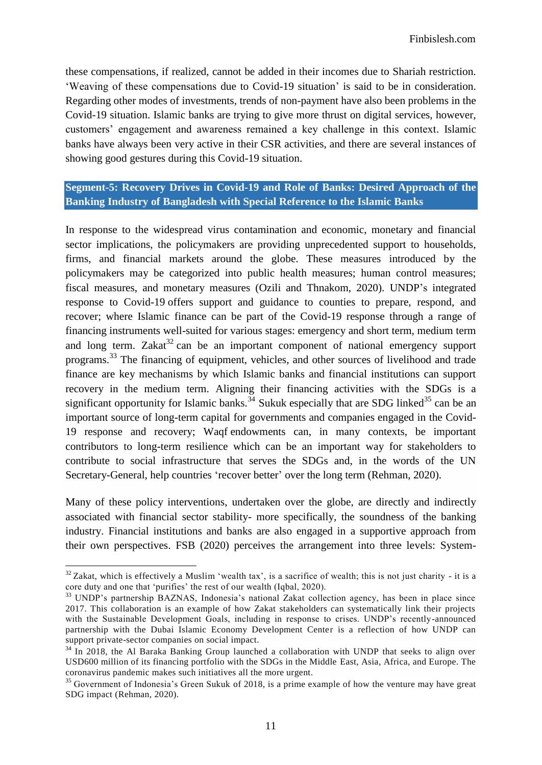these compensations, if realized, cannot be added in their incomes due to Shariah restriction. "Weaving of these compensations due to Covid-19 situation" is said to be in consideration. Regarding other modes of investments, trends of non-payment have also been problems in the Covid-19 situation. Islamic banks are trying to give more thrust on digital services, however, customers" engagement and awareness remained a key challenge in this context. Islamic banks have always been very active in their CSR activities, and there are several instances of showing good gestures during this Covid-19 situation.

## **Segment-5: Recovery Drives in Covid-19 and Role of Banks: Desired Approach of the Banking Industry of Bangladesh with Special Reference to the Islamic Banks**

In response to the widespread virus contamination and economic, monetary and financial sector implications, the policymakers are providing unprecedented support to households, firms, and financial markets around the globe. These measures introduced by the policymakers may be categorized into public health measures; human control measures; fiscal measures, and monetary measures (Ozili and Thnakom, 2020). UNDP"s integrated response to Covid-19 offers support and guidance to counties to prepare, respond, and recover; where Islamic finance can be part of the Covid-19 response through a range of financing instruments well-suited for various stages: emergency and short term, medium term and long term. Zakat<sup>32</sup> can be an important component of national emergency support programs.<sup>33</sup> The financing of equipment, vehicles, and other sources of livelihood and trade finance are key mechanisms by which Islamic banks and financial institutions can support recovery in the medium term. Aligning their financing activities with the SDGs is a significant opportunity for Islamic banks.<sup>34</sup> Sukuk especially that are SDG linked<sup>35</sup> can be an important source of long-term capital for governments and companies engaged in the Covid-19 response and recovery; Waqf endowments can, in many contexts, be important contributors to long-term resilience which can be an important way for stakeholders to contribute to social infrastructure that serves the SDGs and, in the words of the UN Secretary-General, help countries 'recover better' over the long term (Rehman, 2020).

Many of these policy interventions, undertaken over the globe, are directly and indirectly associated with financial sector stability- more specifically, the soundness of the banking industry. Financial institutions and banks are also engaged in a supportive approach from their own perspectives. FSB (2020) perceives the arrangement into three levels: System-

<sup>1</sup>  $32$  Zakat, which is effectively a Muslim 'wealth tax', is a sacrifice of wealth; this is not just charity - it is a core duty and one that 'purifies' the rest of our wealth (Iqbal, 2020).

<sup>&</sup>lt;sup>33</sup> UNDP's partnership BAZNAS, Indonesia's national Zakat collection agency, has been in place since 2017. This collaboration is an example of how Zakat stakeholders can systematically link their projects with the Sustainable Development Goals, including in response to crises. UNDP's recently-announced partnership with the Dubai Islamic Economy Development Center is a reflection of how UNDP can support private-sector companies on social impact.

<sup>&</sup>lt;sup>34</sup> In 2018, the Al Baraka Banking Group launched a collaboration with UNDP that seeks to align over USD600 million of its financing portfolio with the SDGs in the Middle East, Asia, Africa, and Europe. The coronavirus pandemic makes such initiatives all the more urgent.

<sup>&</sup>lt;sup>35</sup> Government of Indonesia's Green Sukuk of 2018, is a prime example of how the venture may have great SDG impact (Rehman, 2020).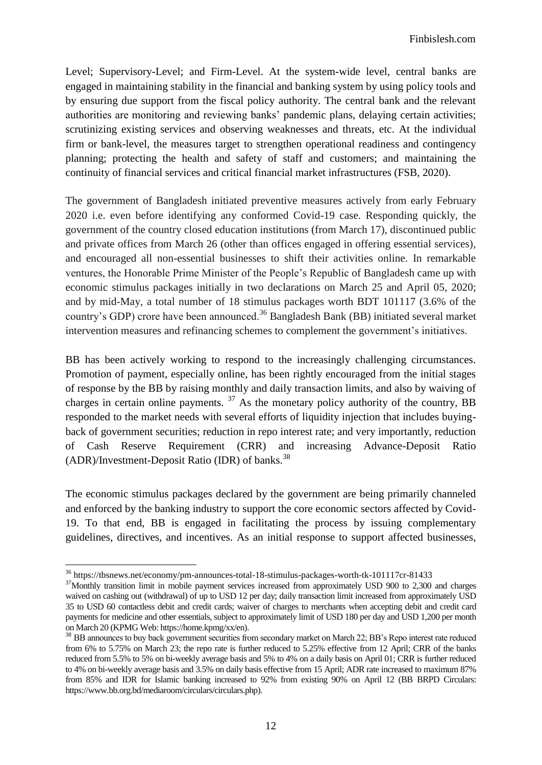Level; Supervisory-Level; and Firm-Level. At the system-wide level, central banks are engaged in maintaining stability in the financial and banking system by using policy tools and by ensuring due support from the fiscal policy authority. The central bank and the relevant authorities are monitoring and reviewing banks" pandemic plans, delaying certain activities; scrutinizing existing services and observing weaknesses and threats, etc. At the individual firm or bank-level, the measures target to strengthen operational readiness and contingency planning; protecting the health and safety of staff and customers; and maintaining the continuity of financial services and critical financial market infrastructures (FSB, 2020).

The government of Bangladesh initiated preventive measures actively from early February 2020 i.e. even before identifying any conformed Covid-19 case. Responding quickly, the government of the country closed education institutions (from March 17), discontinued public and private offices from March 26 (other than offices engaged in offering essential services), and encouraged all non-essential businesses to shift their activities online. In remarkable ventures, the Honorable Prime Minister of the People"s Republic of Bangladesh came up with economic stimulus packages initially in two declarations on March 25 and April 05, 2020; and by mid-May, a total number of 18 stimulus packages worth BDT 101117 (3.6% of the country's GDP) crore have been announced.<sup>36</sup> Bangladesh Bank (BB) initiated several market intervention measures and refinancing schemes to complement the government's initiatives.

BB has been actively working to respond to the increasingly challenging circumstances. Promotion of payment, especially online, has been rightly encouraged from the initial stages of response by the BB by raising monthly and daily transaction limits, and also by waiving of charges in certain online payments.  $37$  As the monetary policy authority of the country, BB responded to the market needs with several efforts of liquidity injection that includes buyingback of government securities; reduction in repo interest rate; and very importantly, reduction of Cash Reserve Requirement (CRR) and increasing Advance-Deposit Ratio  $(ADR)/Investment-Deposit Ratio (IDR) of banks.<sup>38</sup>$ 

The economic stimulus packages declared by the government are being primarily channeled and enforced by the banking industry to support the core economic sectors affected by Covid-19. To that end, BB is engaged in facilitating the process by issuing complementary guidelines, directives, and incentives. As an initial response to support affected businesses,

<sup>36</sup> <https://tbsnews.net/economy/pm-announces-total-18-stimulus-packages-worth-tk-101117cr-81433>

<sup>&</sup>lt;sup>37</sup>Monthly transition limit in mobile payment services increased from approximately USD 900 to 2,300 and charges waived on cashing out (withdrawal) of up to USD 12 per day; daily transaction limit increased from approximately USD 35 to USD 60 contactless debit and credit cards; waiver of charges to merchants when accepting debit and credit card payments for medicine and other essentials, subject to approximately limit of USD 180 per day and USD 1,200 per month on March 20 (KPMG Web[: https://home.kpmg/xx/en\)](https://home.kpmg/xx/en/home/insights/2020/04/bangladesh-government-and-institution-measures-in-response-to-covid.html).

<sup>&</sup>lt;sup>38</sup> BB announces to buy back government securities from secondary market on March 22; BB's Repo interest rate reduced from 6% to 5.75% on March 23; the repo rate is further reduced to 5.25% effective from 12 April; CRR of the banks reduced from 5.5% to 5% on bi-weekly average basis and 5% to 4% on a daily basis on April 01; CRR is further reduced to 4% on bi-weekly average basis and 3.5% on daily basis effective from 15 April; ADR rate increased to maximum 87% from 85% and IDR for Islamic banking increased to 92% from existing 90% on April 12 (BB BRPD Circulars: [https://www.bb.org.bd/mediaroom/circulars/circulars.php\)](https://www.bb.org.bd/mediaroom/circulars/circulars.php).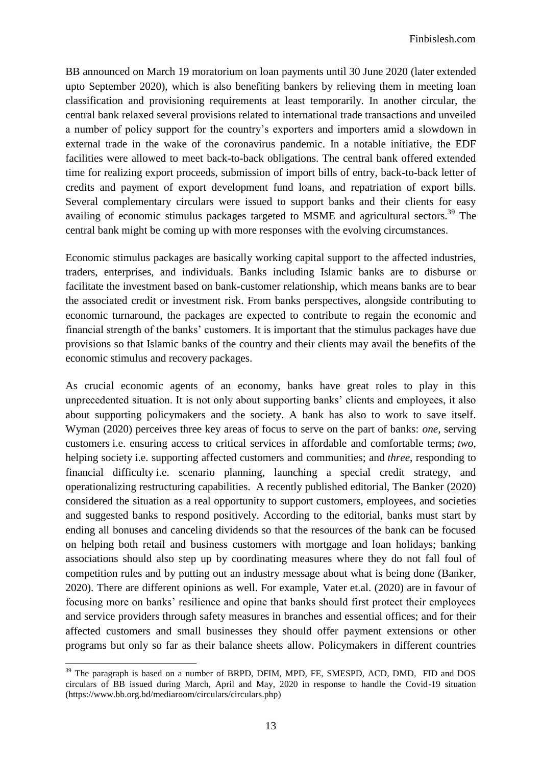BB announced on March 19 moratorium on loan payments until 30 June 2020 (later extended upto September 2020), which is also benefiting bankers by relieving them in meeting loan classification and provisioning requirements at least temporarily. In another circular, the central bank relaxed several provisions related to international trade transactions and unveiled a number of policy support for the country"s exporters and importers amid a slowdown in external trade in the wake of the coronavirus pandemic. In a notable initiative, the EDF facilities were allowed to meet back-to-back obligations. The central bank offered extended time for realizing export proceeds, submission of import bills of entry, back-to-back letter of credits and payment of export development fund loans, and repatriation of export bills. Several complementary circulars were issued to support banks and their clients for easy availing of economic stimulus packages targeted to MSME and agricultural sectors.<sup>39</sup> The central bank might be coming up with more responses with the evolving circumstances.

Economic stimulus packages are basically working capital support to the affected industries, traders, enterprises, and individuals. Banks including Islamic banks are to disburse or facilitate the investment based on bank-customer relationship, which means banks are to bear the associated credit or investment risk. From banks perspectives, alongside contributing to economic turnaround, the packages are expected to contribute to regain the economic and financial strength of the banks" customers. It is important that the stimulus packages have due provisions so that Islamic banks of the country and their clients may avail the benefits of the economic stimulus and recovery packages.

As crucial economic agents of an economy, banks have great roles to play in this unprecedented situation. It is not only about supporting banks" clients and employees, it also about supporting policymakers and the society. A bank has also to work to save itself. Wyman (2020) perceives three key areas of focus to serve on the part of banks: *one,* serving customers i.e. ensuring access to critical services in affordable and comfortable terms; *two,* helping society i.e. supporting affected customers and communities; and *three*, responding to financial difficulty i.e. scenario planning, launching a special credit strategy, and operationalizing restructuring capabilities. A recently published editorial, The Banker (2020) considered the situation as a real opportunity to support customers, employees, and societies and suggested banks to respond positively. According to the editorial, banks must start by ending all bonuses and canceling dividends so that the resources of the bank can be focused on helping both retail and business customers with mortgage and loan holidays; banking associations should also step up by coordinating measures where they do not fall foul of competition rules and by putting out an industry message about what is being done (Banker, 2020). There are different opinions as well. For example, Vater et.al. (2020) are in favour of focusing more on banks" resilience and opine that banks should first protect their employees and service providers through safety measures in branches and essential offices; and for their affected customers and small businesses they should offer payment extensions or other programs but only so far as their balance sheets allow. Policymakers in different countries

<sup>&</sup>lt;sup>39</sup> The paragraph is based on a number of BRPD, DFIM, MPD, FE, SMESPD, ACD, DMD, FID and DOS circulars of BB issued during March, April and May, 2020 in response to handle the Covid-19 situation [\(https://www.bb.org.bd/mediaroom/circulars/circulars.php\)](https://www.bb.org.bd/mediaroom/circulars/circulars.php)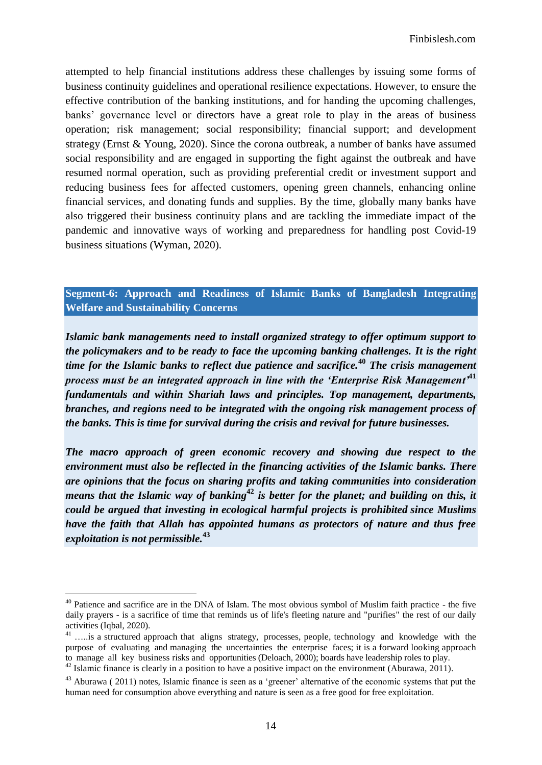attempted to help financial institutions address these challenges by issuing some forms of business continuity guidelines and operational resilience expectations. However, to ensure the effective contribution of the banking institutions, and for handing the upcoming challenges, banks' governance level or directors have a great role to play in the areas of business operation; risk management; social responsibility; financial support; and development strategy (Ernst & Young, 2020). Since the corona outbreak, a number of banks have assumed social responsibility and are engaged in supporting the fight against the outbreak and have resumed normal operation, such as providing preferential credit or investment support and reducing business fees for affected customers, opening green channels, enhancing online financial services, and donating funds and supplies. By the time, globally many banks have also triggered their business continuity plans and are tackling the immediate impact of the pandemic and innovative ways of working and preparedness for handling post Covid-19 business situations (Wyman, 2020).

## **Segment-6: Approach and Readiness of Islamic Banks of Bangladesh Integrating Welfare and Sustainability Concerns**

*Islamic bank managements need to install organized strategy to offer optimum support to the policymakers and to be ready to face the upcoming banking challenges. It is the right time for the Islamic banks to reflect due patience and sacrifice.***<sup>40</sup>** *The crisis management process must be an integrated approach in line with the 'Enterprise Risk Management'***<sup>41</sup>** *fundamentals and within Shariah laws and principles. Top management, departments, branches, and regions need to be integrated with the ongoing risk management process of the banks. This is time for survival during the crisis and revival for future businesses.* 

*The macro approach of green economic recovery and showing due respect to the environment must also be reflected in the financing activities of the Islamic banks. There are opinions that the focus on sharing profits and taking communities into consideration means that the Islamic way of banking***<sup>42</sup>** *is better for the planet; and building on this, it could be argued that investing in [ecological harmful projects is prohibited](https://www.greenprophet.com/2011/06/how-do-you-stop-greenwash/) since Muslims have the faith that Allah has appointed humans as protectors of nature and thus free exploitation is not permissible.***<sup>43</sup>**

<sup>&</sup>lt;sup>40</sup> Patience and sacrifice are in the DNA of Islam. The most obvious symbol of Muslim faith practice - the five daily prayers - is a sacrifice of time that reminds us of life's fleeting nature and "purifies" the rest of our daily activities (Iqbal, 2020).

<sup>&</sup>lt;sup>41</sup> .....is a structured approach that aligns strategy, processes, people, technology and knowledge with the purpose of evaluating and managing the uncertainties the enterprise faces; it is a forward looking approach to manage all key business risks and opportunities (Deloach, 2000); boards have leadership roles to play.  $^{42}$  Islamic finance is clearly in a position to have a positive impact on the environment (Aburawa, 2011).

 $43$  Aburawa ( 2011) notes, Islamic finance is seen as a 'greener' alternative of the economic systems that put the human need for consumption above everything and nature is seen as a free good for free exploitation.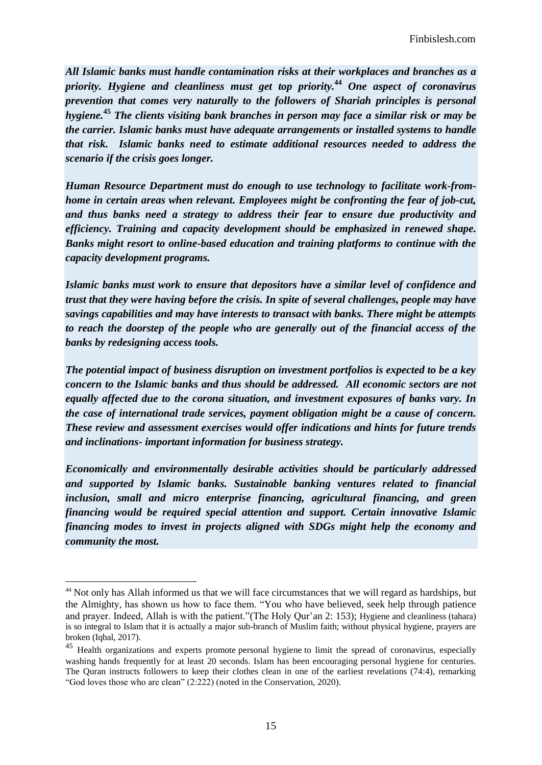*All Islamic banks must handle contamination risks at their workplaces and branches as a priority. Hygiene and cleanliness must get top priority.***<sup>44</sup>** *One aspect of coronavirus prevention that comes very naturally to the followers of Shariah principles is personal hygiene.***<sup>45</sup>** *The clients visiting bank branches in person may face a similar risk or may be the carrier. Islamic banks must have adequate arrangements or installed systems to handle that risk. Islamic banks need to estimate additional resources needed to address the scenario if the crisis goes longer.*

*Human Resource Department must do enough to use technology to facilitate work-fromhome in certain areas when relevant. Employees might be confronting the fear of job-cut, and thus banks need a strategy to address their fear to ensure due productivity and efficiency. Training and capacity development should be emphasized in renewed shape. Banks might resort to online-based education and training platforms to continue with the capacity development programs.*

*Islamic banks must work to ensure that depositors have a similar level of confidence and trust that they were having before the crisis. In spite of several challenges, people may have savings capabilities and may have interests to transact with banks. There might be attempts to reach the doorstep of the people who are generally out of the financial access of the banks by redesigning access tools.* 

*The potential impact of business disruption on investment portfolios is expected to be a key concern to the Islamic banks and thus should be addressed. All economic sectors are not equally affected due to the corona situation, and investment exposures of banks vary. In the case of international trade services, payment obligation might be a cause of concern. These review and assessment exercises would offer indications and hints for future trends and inclinations- important information for business strategy.* 

*Economically and environmentally desirable activities should be particularly addressed and supported by Islamic banks. Sustainable banking ventures related to financial inclusion, small and micro enterprise financing, agricultural financing, and green financing would be required special attention and support. Certain innovative Islamic financing modes to invest in projects aligned with SDGs might help the economy and community the most.* 

<sup>&</sup>lt;sup>44</sup> Not only has Allah informed us that we will face circumstances that we will regard as hardships, but the Almighty, has shown us how to face them. "You who have believed, seek help through patience and prayer. Indeed, Allah is with the patient."(The Holy Qur"an 2: 153); Hygiene and cleanliness (tahara) is so integral to Islam that it is actually a major sub-branch of Muslim faith; without physical hygiene, prayers are broken (Iqbal, 2017).

<sup>&</sup>lt;sup>45</sup> Health organizations and experts promote [personal hygiene](https://www1.health.gov.au/internet/publications/publishing.nsf/Content/ohp-enhealth-manual-atsi-cnt-l~ohp-enhealth-manual-atsi-cnt-l-ch3~ohp-enhealth-manual-atsi-cnt-l-ch3.7) to limit the spread of coronavirus, especially washing hands frequently for at least 20 seconds. Islam has been encouraging personal hygiene for centuries. The Quran instructs followers to keep their clothes clean in one of the earliest revelations (74:4), remarking "God loves those who are clean" (2:222) (noted in the Conservation, 2020).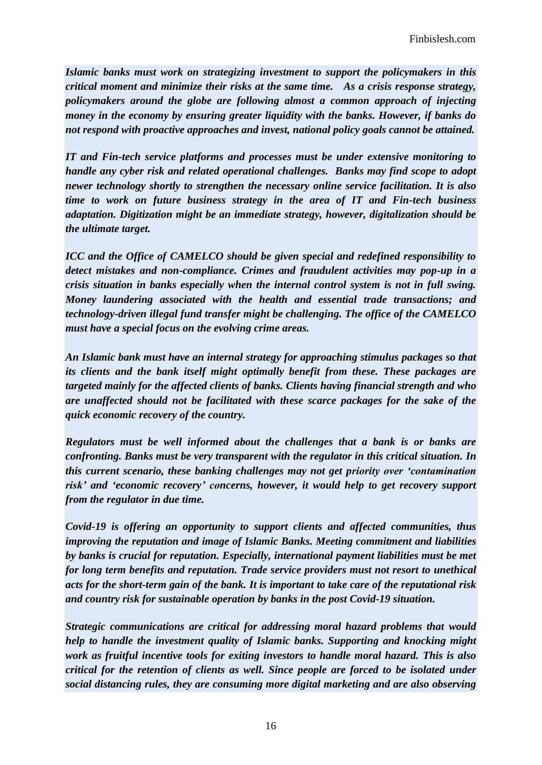*Islamic banks must work on strategizing investment to support the policymakers in this critical moment and minimize their risks at the same time. As a crisis response strategy, policymakers around the globe are following almost a common approach of injecting money in the economy by ensuring greater liquidity with the banks. However, if banks do not respond with proactive approaches and invest, national policy goals cannot be attained.* 

*IT and Fin-tech service platforms and processes must be under extensive monitoring to handle any cyber risk and related operational challenges. Banks may find scope to adopt newer technology shortly to strengthen the necessary online service facilitation. It is also time to work on future business strategy in the area of IT and Fin-tech business adaptation. Digitization might be an immediate strategy, however, digitalization should be the ultimate target.* 

*ICC and the Office of CAMELCO should be given special and redefined responsibility to detect mistakes and non-compliance. Crimes and fraudulent activities may pop-up in a crisis situation in banks especially when the internal control system is not in full swing. Money laundering associated with the health and essential trade transactions; and technology-driven illegal fund transfer might be challenging. The office of the CAMELCO must have a special focus on the evolving crime areas.* 

*An Islamic bank must have an internal strategy for approaching stimulus packages so that its clients and the bank itself might optimally benefit from these. These packages are targeted mainly for the affected clients of banks. Clients having financial strength and who are unaffected should not be facilitated with these scarce packages for the sake of the quick economic recovery of the country.* 

*Regulators must be well informed about the challenges that a bank is or banks are confronting. Banks must be very transparent with the regulator in this critical situation. In this current scenario, these banking challenges may not get priority over 'contamination risk' and 'economic recovery' concerns, however, it would help to get recovery support from the regulator in due time.* 

*Covid-19 is offering an opportunity to support clients and affected communities, thus improving the reputation and image of Islamic Banks. Meeting commitment and liabilities by banks is crucial for reputation. Especially, international payment liabilities must be met for long term benefits and reputation. Trade service providers must not resort to unethical acts for the short-term gain of the bank. It is important to take care of the reputational risk and country risk for sustainable operation by banks in the post Covid-19 situation.* 

*Strategic communications are critical for addressing moral hazard problems that would help to handle the investment quality of Islamic banks. Supporting and knocking might work as fruitful incentive tools for exiting investors to handle moral hazard. This is also critical for the retention of clients as well. Since people are forced to be isolated under social distancing rules, they are consuming more digital marketing and are also observing*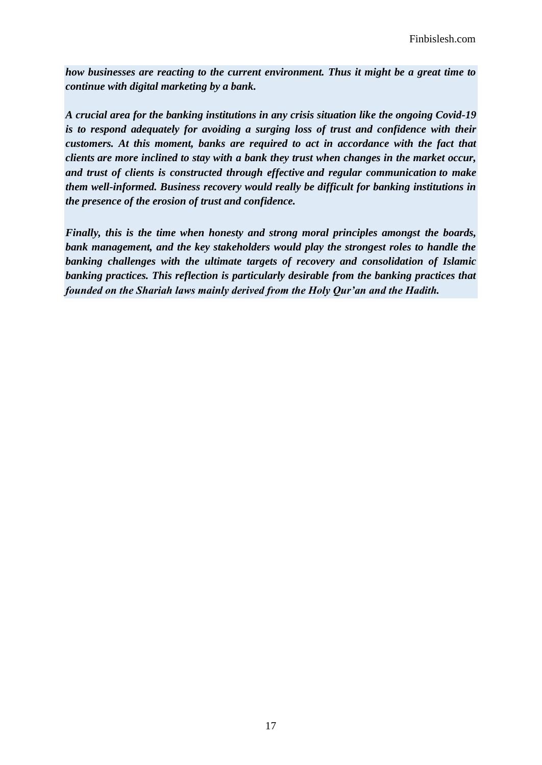*how businesses are reacting to the current environment. Thus it might be a great time to continue with digital marketing by a bank.*

*A crucial area for the banking institutions in any crisis situation like the ongoing Covid-19 is to respond adequately for avoiding a surging loss of trust and confidence with their customers. At this moment, banks are required to act in accordance with the fact that clients are more inclined to stay with a bank they trust when changes in the market occur, and trust of clients is constructed through effective and regular communication to make them well-informed. Business recovery would really be difficult for banking institutions in the presence of the erosion of trust and confidence.*

*Finally, this is the time when honesty and strong moral principles amongst the boards, bank management, and the key stakeholders would play the strongest roles to handle the banking challenges with the ultimate targets of recovery and consolidation of Islamic banking practices. This reflection is particularly desirable from the banking practices that founded on the Shariah laws mainly derived from the Holy Qur'an and the Hadith.*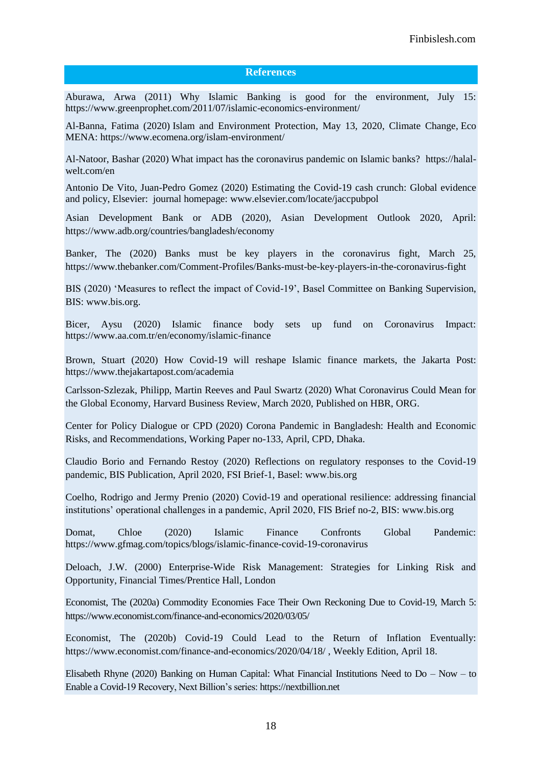#### **References**

Aburawa, Arwa (2011) Why Islamic Banking is good for the environment, July 15: <https://www.greenprophet.com/2011/07/islamic-economics-environment/>

[Al-Banna,](https://www.ecomena.org/author/fatima/) Fatima (2020) Islam and Environment Protection, May 13, 2020, [Climate Change,](https://www.ecomena.org/category/climate-change-2/) Eco MENA:<https://www.ecomena.org/islam-environment/>

Al-Natoor, Bashar (2020) What impact has the coronavirus pandemic on Islamic banks? [https://halal](https://halal-welt.com/en/what-impact-has-the-coronavirus-pandemic-on-islamic-banks/)[welt.com/en](https://halal-welt.com/en/what-impact-has-the-coronavirus-pandemic-on-islamic-banks/)

Antonio De Vito, Juan-Pedro Gomez (2020) Estimating the Covid-19 cash crunch: Global evidence and policy, Elsevier: journal homepage: [www.elsevier.com/locate/jaccpubpol](http://www.elsevier.com/locate/jaccpubpol)

Asian Development Bank or ADB (2020), Asian Development Outlook 2020, April: <https://www.adb.org/countries/bangladesh/economy>

Banker, The (2020) Banks must be key players in the coronavirus fight, March 25, <https://www.thebanker.com/Comment-Profiles/Banks-must-be-key-players-in-the-coronavirus-fight>

BIS (2020) "Measures to reflect the impact of Covid-19", Basel Committee on Banking Supervision, BIS: [www.bis.org.](http://www.bis.org/)

Bicer, Aysu (2020) Islamic finance body sets up fund on Coronavirus Impact: [https://www.aa.com.tr/en/economy/islamic-finance](https://www.aa.com.tr/en/economy/islamic-finance-body-sets-up-fund-on-coronavirus-impact/1769145)

Brown, Stuart (2020) How Covid-19 will reshape Islamic finance markets, the Jakarta Post: [https://www.thejakartapost.com/academia](https://www.thejakartapost.com/academia/2020/06/05/how-covid-19-will-reshape-islamic-finance-markets.html)

Carlsson-Szlezak, Philipp, Martin Reeves and Paul Swartz (2020) What Coronavirus Could Mean for the Global Economy, Harvard Business Review, March 2020, Published on HBR, ORG.

Center for Policy Dialogue or CPD (2020) Corona Pandemic in Bangladesh: Health and Economic Risks, and Recommendations, Working Paper no-133, April, CPD, Dhaka.

Claudio Borio and Fernando Restoy (2020) Reflections on regulatory responses to the Covid-19 pandemic, BIS Publication, April 2020, FSI Brief-1, Basel: [www.bis.org](http://www.bis.org/) 

Coelho, Rodrigo and Jermy Prenio (2020) Covid-19 and operational resilience: addressing financial institutions" operational challenges in a pandemic, April 2020, FIS Brief no-2, BIS: [www.bis.org](http://www.bis.org/) 

Domat, Chloe (2020) Islamic Finance Confronts Global Pandemic: <https://www.gfmag.com/topics/blogs/islamic-finance-covid-19-coronavirus>

Deloach, J.W. (2000) Enterprise-Wide Risk Management: Strategies for Linking Risk and Opportunity, Financial Times/Prentice Hall, London

Economist, The (2020a) Commodity Economies Face Their Own Reckoning Due to Covid-19, March 5: [https://www.economist.com/finance-and-economics/2020/03/05/](https://www.economist.com/finance-and-economics/2020/03/05/commodity-economiesface-their-own-reckoning-due-to-covid-19)

Economist, The (2020b) Covid-19 Could Lead to the Return of Inflation Eventually: [https://www.economist.com/finance-and-economics/2020/04/18/](https://www.economist.com/finance-and-economics/2020/04/18/covid-19-could-lead-to-the-return-of-inflation-eventually) , Weekly Edition, April 18.

Elisabeth Rhyne (2020) Banking on Human Capital: What Financial Institutions Need to Do – Now – to Enable a Covid-19 Recovery, Next Billion"s series: [https://nextbillion.net](https://nextbillion.net/banking-human-capital-covid19-recovery/)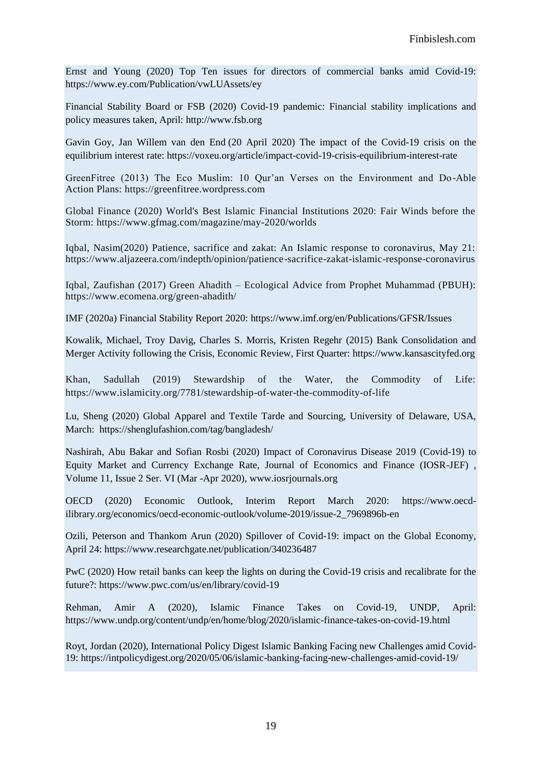Ernst and Young (2020) Top Ten issues for directors of commercial banks amid Covid-19: [https://www.ey.com/Publication/vwLUAssets/ey](https://www.ey.com/Publication/vwLUAssets/ey-top-ten-issues-for-directors-of-commercial-banks-amid-covid-19-en/$File/ey-top-ten-issues-for-directors-of-commercial-banks-amid-covid-19-en.pdf)

Financial Stability Board or FSB (2020) Covid-19 pandemic: Financial stability implications and policy measures taken, April: [http://www.fsb.org](http://www.fsb.org/)

Gavin Goy, Jan Willem van den End (20 April 2020) The impact of the Covid-19 crisis on the equilibrium interest rate:<https://voxeu.org/article/impact-covid-19-crisis-equilibrium-interest-rate>

GreenFitree (2013) The Eco Muslim: 10 Qur"an Verses on the Environment and Do-Able Action Plans: [https://greenfitree.wordpress.com](https://greenfitree.wordpress.com/2013/06/17/10-quran-verses-on-the-environment-and-do-able-action-plans/)

Global Finance (2020) World's Best Islamic Financial Institutions 2020: Fair Winds before the Storm: [https://www.gfmag.com/magazine/may-2020/worlds](https://www.gfmag.com/magazine/may-2020/worlds-best-islamic-financial-institutions-2020)

Iqbal, Nasim(2020) Patience, sacrifice and zakat: An Islamic response to coronavirus, May 21: [https://www.aljazeera.com/indepth/opinion/patience-sacrifice-zakat-islamic-response-coronavirus](https://www.aljazeera.com/indepth/opinion/patience-sacrifice-zakat-islamic-response-coronavirus-200414132512318.html)

Iqbal, Zaufishan (2017) Green Ahadith – Ecological Advice from Prophet Muhammad (PBUH): <https://www.ecomena.org/green-ahadith/>

IMF (2020a) Financial Stability Report 2020: [https://www.imf.org/en/Publications/GFSR/Issues](https://www.imf.org/en/Publications/GFSR/Issues/2020/04/14/global-financial-stability-report-april-2020)

Kowalik, Michael, Troy Davig, Charles S. Morris, Kristen Regehr (2015) Bank Consolidation and Merger Activity following the Crisis, Economic Review, First Quarter: [https://www.kansascityfed.org](https://www.kansascityfed.org/publicat/econrev/pdf/15q1Kowalik-Davig-Morris-Regehr.pdf)

Khan, Sadullah (2019) Stewardship of the Water, the Commodity of Life: [https://www.islamicity.org/7781/stewardship-of-water-the-commodity-of-life](https://www.islamicity.org/7781/stewardship-of-water-the-commodity-of-life/?gclid=EAIaIQobChMI89m27siA6gIVzBErCh0IxA3xEAAYASAAEgIL__D_BwE)

Lu, Sheng (2020) Global Apparel and Textile Tarde and Sourcing, University of Delaware, USA, March: <https://shenglufashion.com/tag/bangladesh/>

Nashirah, Abu Bakar and Sofian Rosbi (2020) Impact of Coronavirus Disease 2019 (Covid-19) to Equity Market and Currency Exchange Rate, Journal of Economics and Finance (IOSR-JEF) , Volume 11, Issue 2 Ser. VI (Mar -Apr 2020), www.iosrjournals.org

OECD (2020) Economic Outlook, Interim Report March 2020: [https://www.oecd](https://www.oecd-ilibrary.org/economics/oecd-economic-outlook/volume-2019/issue-2_7969896b-en)[ilibrary.org/economics/oecd-economic-outlook/volume-2019/issue-2\\_7969896b-en](https://www.oecd-ilibrary.org/economics/oecd-economic-outlook/volume-2019/issue-2_7969896b-en)

Ozili, Peterson and Thankom Arun (2020) Spillover of Covid-19: impact on the Global Economy, April 24:<https://www.researchgate.net/publication/340236487>

PwC (2020) How retail banks can keep the lights on during the Covid-19 crisis and recalibrate for the future?: [https://www.pwc.com/us/en/library/covid-19](https://www.pwc.com/us/en/library/covid-19/coronavirus-impacts-retail-banking.html)

Rehman, Amir A (2020), Islamic Finance Takes on Covid-19, UNDP, April: <https://www.undp.org/content/undp/en/home/blog/2020/islamic-finance-takes-on-covid-19.html>

[Royt,](https://intpolicydigest.org/author/jordan-royt/) Jordan (2020), International Policy Digest Islamic Banking Facing new Challenges amid Covid-19:<https://intpolicydigest.org/2020/05/06/islamic-banking-facing-new-challenges-amid-covid-19/>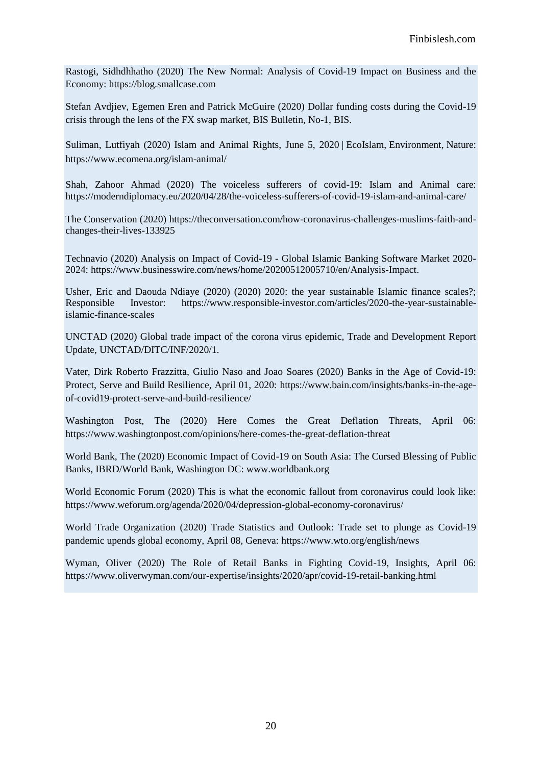Rastogi, Sidhdhhatho (2020) The New Normal: Analysis of Covid-19 Impact on Business and the Economy: [https://blog.smallcase.com](https://blog.smallcase.com/the-new-normal-analysis-of-covid-19-on-indian-businesses-sectors-and-the-economy/)

Stefan Avdjiev, Egemen Eren and Patrick McGuire (2020) Dollar funding costs during the Covid-19 crisis through the lens of the FX swap market, BIS Bulletin, No-1, BIS.

Suliman, Lutfiyah (2020) Islam and Animal Rights, [June 5, 2020](https://www.ecomena.org/islam-animal/) | [EcoIslam,](https://www.ecomena.org/category/ecoislam/) [Environment,](https://www.ecomena.org/category/environment-2/) [Nature:](https://www.ecomena.org/category/nature/) <https://www.ecomena.org/islam-animal/>

[Shah,](https://moderndiplomacy.eu/author/zahoorshah/) Zahoor Ahmad (2020) The voiceless sufferers of covid-19: Islam and Animal care: <https://moderndiplomacy.eu/2020/04/28/the-voiceless-sufferers-of-covid-19-islam-and-animal-care/>

The Conservation (2020) [https://theconversation.com/how-coronavirus-challenges-muslims-faith-and](https://theconversation.com/how-coronavirus-challenges-muslims-faith-and-changes-their-lives-133925)[changes-their-lives-133925](https://theconversation.com/how-coronavirus-challenges-muslims-faith-and-changes-their-lives-133925)

Technavio (2020) Analysis on Impact of Covid-19 - Global Islamic Banking Software Market 2020- 2024: [https://www.businesswire.com/news/home/20200512005710/en/Analysis-Impact.](https://www.businesswire.com/news/home/20200512005710/en/Analysis-Impact-%20ng)

Usher, Eric and Daouda Ndiaye (2020) (2020) 2020: the year sustainable Islamic finance scales?; Responsible Investor: [https://www.responsible-investor.com/articles/2020-the-year-sustainable](https://www.responsible-investor.com/articles/2020-the-year-sustainable-islamic-finance-scales)[islamic-finance-scales](https://www.responsible-investor.com/articles/2020-the-year-sustainable-islamic-finance-scales)

UNCTAD (2020) Global trade impact of the corona virus epidemic, Trade and Development Report Update, UNCTAD/DITC/INF/2020/1.

Vater, Dirk Roberto Frazzitta, Giulio Naso and Joao Soares (2020) Banks in the Age of Covid-19: Protect, Serve and Build Resilience, April 01, 2020: [https://www.bain.com/insights/banks-in-the-age](https://www.bain.com/insights/banks-in-the-age-of-covid19-protect-serve-and-build-resilience/)[of-covid19-protect-serve-and-build-resilience/](https://www.bain.com/insights/banks-in-the-age-of-covid19-protect-serve-and-build-resilience/)

Washington Post, The (2020) Here Comes the Great Deflation Threats, April 06: [https://www.washingtonpost.com/opinions/here-comes-the-great-deflation-threat](https://www.washingtonpost.com/opinions/here-comes-the-great-deflation-threat/2020/04/05/27ca18ce-75fc-11ea-87da-77a8136c1a6d_story.html)

World Bank, The (2020) Economic Impact of Covid-19 on South Asia: The Cursed Blessing of Public Banks, IBRD/World Bank, Washington DC: www.worldbank.org

World Economic Forum (2020) This is what the economic fallout from coronavirus could look like: <https://www.weforum.org/agenda/2020/04/depression-global-economy-coronavirus/>

World Trade Organization (2020) Trade Statistics and Outlook: Trade set to plunge as Covid-19 pandemic upends global economy, April 08, Geneva: [https://www.wto.org/english/news](https://www.wto.org/english/news_e/pres20_e/pr855_e.htm)

Wyman, Oliver (2020) The Role of Retail Banks in Fighting Covid-19, Insights, April 06: <https://www.oliverwyman.com/our-expertise/insights/2020/apr/covid-19-retail-banking.html>